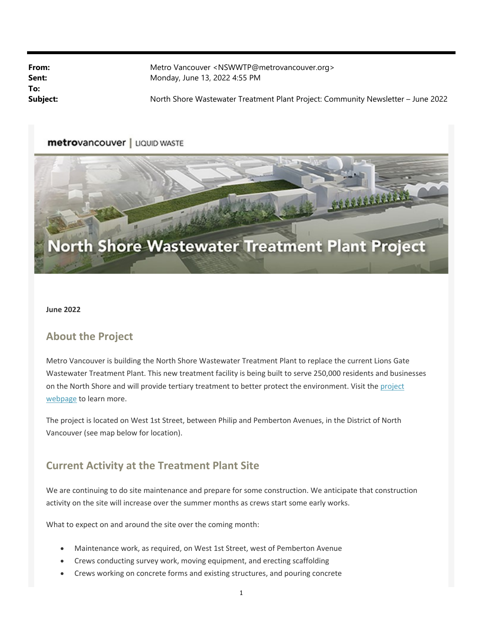**To:**

**From:** Metro Vancouver <NSWWTP@metrovancouver.org> **Sent:** Monday, June 13, 2022 4:55 PM

Subject: North Shore Wastewater Treatment Plant Project: Community Newsletter – June 2022

#### metrovancouver | LIQUID WASTE



#### **June 2022**

### **About the Project**

Metro Vancouver is building the North Shore Wastewater Treatment Plant to replace the current Lions Gate Wastewater Treatment Plant. This new treatment facility is being built to serve 250,000 residents and businesses on the North Shore and will provide tertiary treatment to better protect the environment. Visit the project webpage to learn more.

The project is located on West 1st Street, between Philip and Pemberton Avenues, in the District of North Vancouver (see map below for location).

### **Current Activity at the Treatment Plant Site**

We are continuing to do site maintenance and prepare for some construction. We anticipate that construction activity on the site will increase over the summer months as crews start some early works.

What to expect on and around the site over the coming month:

- Maintenance work, as required, on West 1st Street, west of Pemberton Avenue
- Crews conducting survey work, moving equipment, and erecting scaffolding
- Crews working on concrete forms and existing structures, and pouring concrete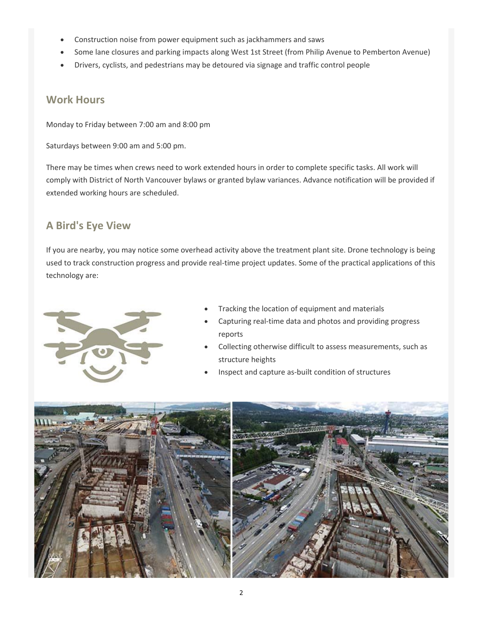- Construction noise from power equipment such as jackhammers and saws
- Some lane closures and parking impacts along West 1st Street (from Philip Avenue to Pemberton Avenue)
- Drivers, cyclists, and pedestrians may be detoured via signage and traffic control people

### **Work Hours**

Monday to Friday between 7:00 am and 8:00 pm

Saturdays between 9:00 am and 5:00 pm.

There may be times when crews need to work extended hours in order to complete specific tasks. All work will comply with District of North Vancouver bylaws or granted bylaw variances. Advance notification will be provided if extended working hours are scheduled.

## **A Bird's Eye View**

If you are nearby, you may notice some overhead activity above the treatment plant site. Drone technology is being used to track construction progress and provide real‐time project updates. Some of the practical applications of this technology are:



- Tracking the location of equipment and materials
- Capturing real‐time data and photos and providing progress reports
- Collecting otherwise difficult to assess measurements, such as structure heights
- Inspect and capture as‐built condition of structures

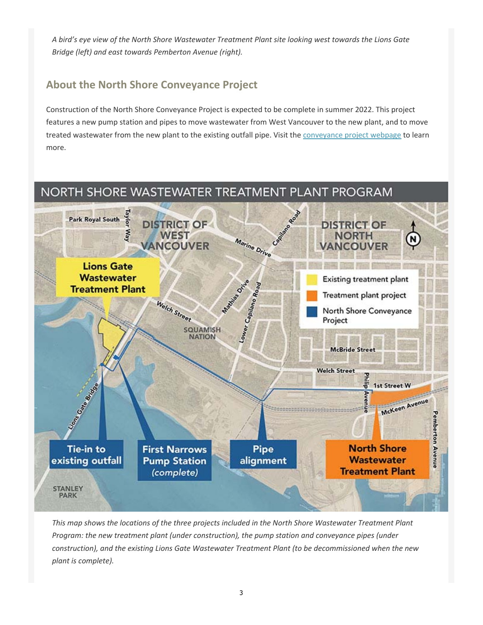*A bird's eye view of the North Shore Wastewater Treatment Plant site looking west towards the Lions Gate Bridge (left) and east towards Pemberton Avenue (right).* 

# **About the North Shore Conveyance Project**

Construction of the North Shore Conveyance Project is expected to be complete in summer 2022. This project features a new pump station and pipes to move wastewater from West Vancouver to the new plant, and to move treated wastewater from the new plant to the existing outfall pipe. Visit the conveyance project webpage to learn more.



*This map shows the locations of the three projects included in the North Shore Wastewater Treatment Plant Program: the new treatment plant (under construction), the pump station and conveyance pipes (under construction), and the existing Lions Gate Wastewater Treatment Plant (to be decommissioned when the new plant is complete).*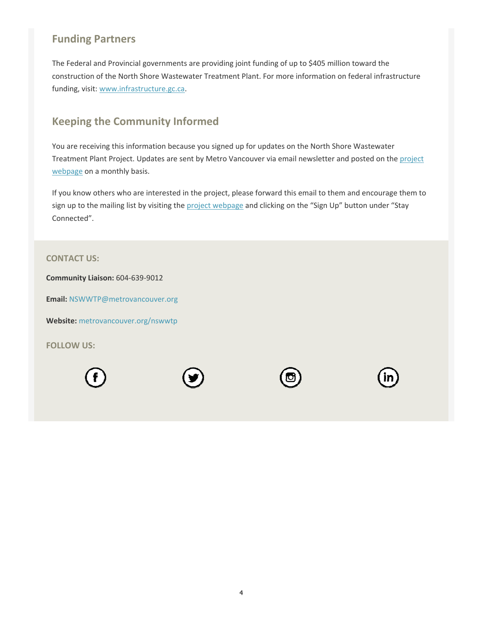# **Funding Partners**

The Federal and Provincial governments are providing joint funding of up to \$405 million toward the construction of the North Shore Wastewater Treatment Plant. For more information on federal infrastructure funding, visit: www.infrastructure.gc.ca.

## **Keeping the Community Informed**

You are receiving this information because you signed up for updates on the North Shore Wastewater Treatment Plant Project. Updates are sent by Metro Vancouver via email newsletter and posted on the project webpage on a monthly basis.

If you know others who are interested in the project, please forward this email to them and encourage them to sign up to the mailing list by visiting the project webpage and clicking on the "Sign Up" button under "Stay Connected".

#### **CONTACT US:**

**Community Liaison:** 604‐639‐9012

**Email:** NSWWTP@metrovancouver.org

**Website:** metrovancouver.org/nswwtp

**FOLLOW US:** 





| II |
|----|
|----|